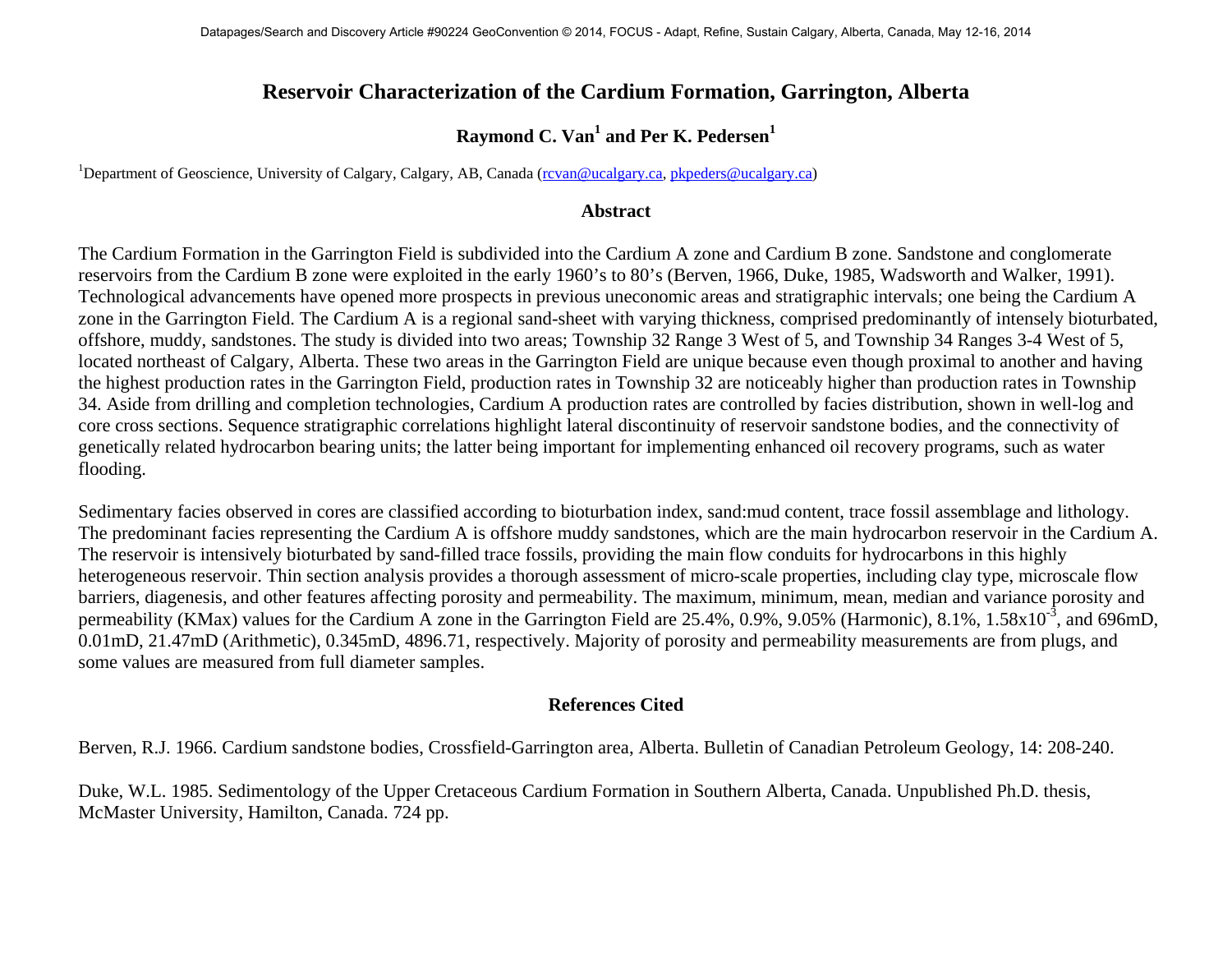## **Reservoir Characterization of the Cardium Formation, Garrington, Alberta**

## **Raymond C. Van<sup>1</sup> and Per K. Pedersen<sup>1</sup>**

<sup>1</sup>Department of Geoscience, University of Calgary, Calgary, AB, Canada (rovan@ucalgary.ca, [pkpeders@ucalgary.ca\)](mailto:pkpeders@ucalgary.ca)

## **Abstract**

The Cardium Formation in the Garrington Field is subdivided into the Cardium A zone and Cardium B zone. Sandstone and conglomerate reservoirs from the Cardium B zone were exploited in the early 1960's to 80's (Berven, 1966, Duke, 1985, Wadsworth and Walker, 1991). Technological advancements have opened more prospects in previous uneconomic areas and stratigraphic intervals; one being the Cardium A zone in the Garrington Field. The Cardium A is a regional sand-sheet with varying thickness, comprised predominantly of intensely bioturbated, offshore, muddy, sandstones. The study is divided into two areas; Township 32 Range 3 West of 5, and Township 34 Ranges 3-4 West of 5, located northeast of Calgary, Alberta. These two areas in the Garrington Field are unique because even though proximal to another and having the highest production rates in the Garrington Field, production rates in Township 32 are noticeably higher than production rates in Township 34. Aside from drilling and completion technologies, Cardium A production rates are controlled by facies distribution, shown in well-log and core cross sections. Sequence stratigraphic correlations highlight lateral discontinuity of reservoir sandstone bodies, and the connectivity of genetically related hydrocarbon bearing units; the latter being important for implementing enhanced oil recovery programs, such as water flooding.

Sedimentary facies observed in cores are classified according to bioturbation index, sand:mud content, trace fossil assemblage and lithology. The predominant facies representing the Cardium A is offshore muddy sandstones, which are the main hydrocarbon reservoir in the Cardium A. The reservoir is intensively bioturbated by sand-filled trace fossils, providing the main flow conduits for hydrocarbons in this highly heterogeneous reservoir. Thin section analysis provides a thorough assessment of micro-scale properties, including clay type, microscale flow barriers, diagenesis, and other features affecting porosity and permeability. The maximum, minimum, mean, median and variance porosity and permeability (KMax) values for the Cardium A zone in the Garrington Field are 25.4%, 0.9%, 9.05% (Harmonic), 8.1%, 1.58x10<sup>-3</sup>, and 696mD, 0.01mD, 21.47mD (Arithmetic), 0.345mD, 4896.71, respectively. Majority of porosity and permeability measurements are from plugs, and some values are measured from full diameter samples.

## **References Cited**

Berven, R.J. 1966. Cardium sandstone bodies, Crossfield-Garrington area, Alberta. Bulletin of Canadian Petroleum Geology, 14: 208-240.

Duke, W.L. 1985. Sedimentology of the Upper Cretaceous Cardium Formation in Southern Alberta, Canada. Unpublished Ph.D. thesis, McMaster University, Hamilton, Canada. 724 pp.